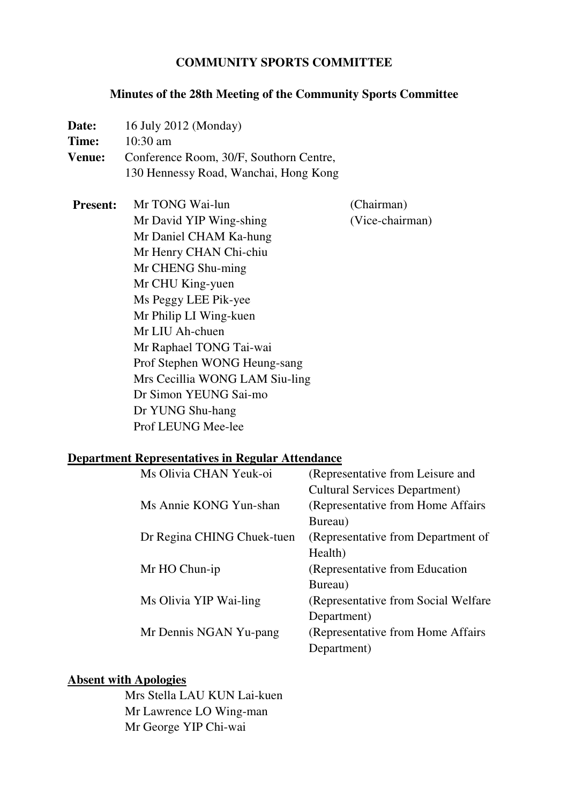#### **COMMUNITY SPORTS COMMITTEE**

#### **Minutes of the 28th Meeting of the Community Sports Committee**

- **Date:** 16 July 2012 (Monday) **Time:** 10:30 am **Venue:** Conference Room, 30/F, Southorn Centre, 130 Hennessy Road, Wanchai, Hong Kong
- **Present:** Mr TONG Wai-lun (Chairman) Mr David YIP Wing-shing (Vice-chairman) Mr Daniel CHAM Ka-hung Mr Henry CHAN Chi-chiu Mr CHENG Shu-ming Mr CHU King-yuen Ms Peggy LEE Pik-yee Mr Philip LI Wing-kuen Mr LIU Ah-chuen Mr Raphael TONG Tai-wai Prof Stephen WONG Heung-sang Mrs Cecillia WONG LAM Siu-ling Dr Simon YEUNG Sai-mo Dr YUNG Shu-hang Prof LEUNG Mee-lee

# **Department Representatives in Regular Attendance**

| Ms Olivia CHAN Yeuk-oi     | (Representative from Leisure and     |
|----------------------------|--------------------------------------|
|                            | <b>Cultural Services Department)</b> |
| Ms Annie KONG Yun-shan     | (Representative from Home Affairs)   |
|                            | Bureau)                              |
| Dr Regina CHING Chuek-tuen | (Representative from Department of   |
|                            | Health)                              |
| Mr HO Chun-ip              | (Representative from Education)      |
|                            | Bureau)                              |
| Ms Olivia YIP Wai-ling     | (Representative from Social Welfare) |
|                            | Department)                          |
| Mr Dennis NGAN Yu-pang     | (Representative from Home Affairs)   |
|                            | Department)                          |

#### **Absent with Apologies**

 Mrs Stella LAU KUN Lai-kuen Mr Lawrence LO Wing-man Mr George YIP Chi-wai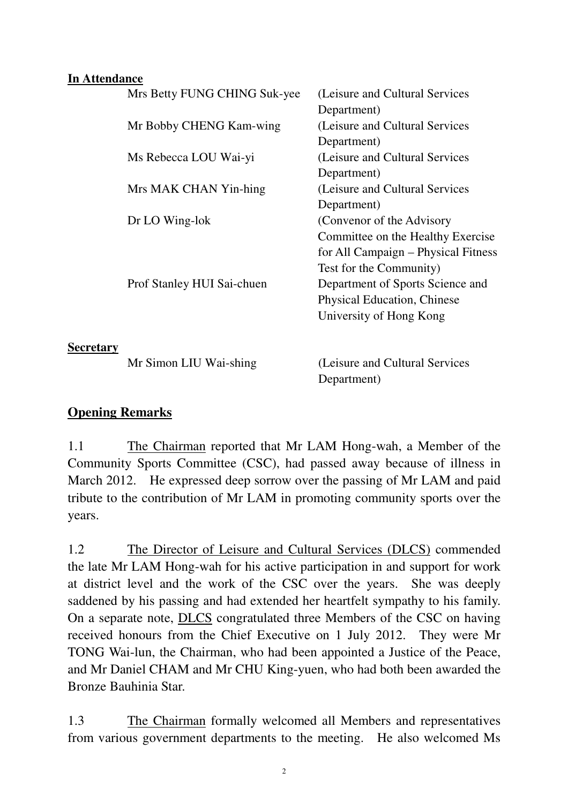#### **In Attendance**

|                  | Mrs Betty FUNG CHING Suk-yee | (Leisure and Cultural Services      |
|------------------|------------------------------|-------------------------------------|
|                  |                              | Department)                         |
|                  | Mr Bobby CHENG Kam-wing      | (Leisure and Cultural Services)     |
|                  |                              | Department)                         |
|                  | Ms Rebecca LOU Wai-yi        | (Leisure and Cultural Services      |
|                  |                              | Department)                         |
|                  | Mrs MAK CHAN Yin-hing        | (Leisure and Cultural Services)     |
|                  |                              | Department)                         |
|                  | Dr LO Wing-lok               | (Convenor of the Advisory           |
|                  |                              | Committee on the Healthy Exercise   |
|                  |                              | for All Campaign - Physical Fitness |
|                  |                              | Test for the Community)             |
|                  | Prof Stanley HUI Sai-chuen   | Department of Sports Science and    |
|                  |                              | <b>Physical Education, Chinese</b>  |
|                  |                              | University of Hong Kong             |
|                  |                              |                                     |
| <b>Secretary</b> |                              |                                     |
|                  | Mr Simon LIU Wai-shing       | (Leisure and Cultural Services)     |
|                  |                              | Department)                         |

## **Opening Remarks**

1.1 The Chairman reported that Mr LAM Hong-wah, a Member of the Community Sports Committee (CSC), had passed away because of illness in March 2012. He expressed deep sorrow over the passing of Mr LAM and paid tribute to the contribution of Mr LAM in promoting community sports over the years.

1.2 The Director of Leisure and Cultural Services (DLCS) commended the late Mr LAM Hong-wah for his active participation in and support for work at district level and the work of the CSC over the years. She was deeply saddened by his passing and had extended her heartfelt sympathy to his family. On a separate note, DLCS congratulated three Members of the CSC on having received honours from the Chief Executive on 1 July 2012. They were Mr TONG Wai-lun, the Chairman, who had been appointed a Justice of the Peace, and Mr Daniel CHAM and Mr CHU King-yuen, who had both been awarded the Bronze Bauhinia Star.

1.3 The Chairman formally welcomed all Members and representatives from various government departments to the meeting. He also welcomed Ms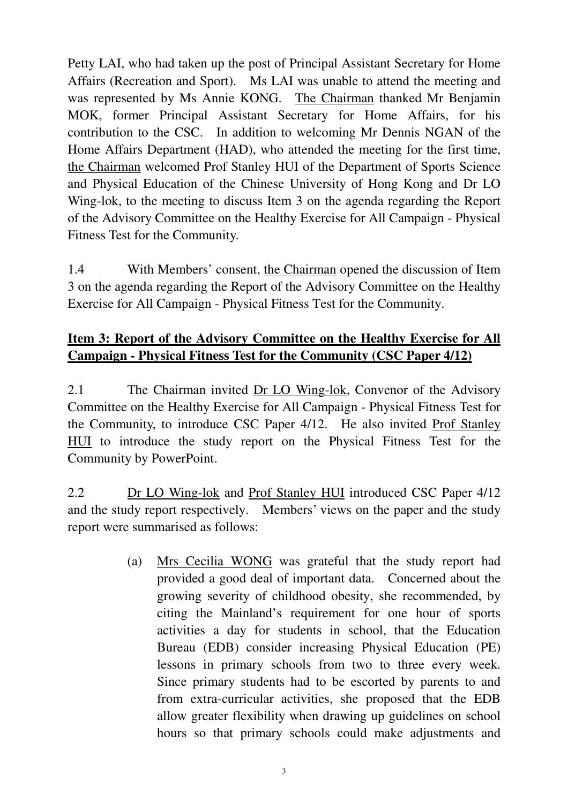Petty LAI, who had taken up the post of Principal Assistant Secretary for Home Affairs (Recreation and Sport). Ms LAI was unable to attend the meeting and was represented by Ms Annie KONG. The Chairman thanked Mr Benjamin MOK, former Principal Assistant Secretary for Home Affairs, for his contribution to the CSC. In addition to welcoming Mr Dennis NGAN of the Home Affairs Department (HAD), who attended the meeting for the first time, the Chairman welcomed Prof Stanley HUI of the Department of Sports Science and Physical Education of the Chinese University of Hong Kong and Dr LO Wing-lok, to the meeting to discuss Item 3 on the agenda regarding the Report of the Advisory Committee on the Healthy Exercise for All Campaign - Physical Fitness Test for the Community.

1.4 With Members' consent, the Chairman opened the discussion of Item 3 on the agenda regarding the Report of the Advisory Committee on the Healthy Exercise for All Campaign - Physical Fitness Test for the Community.

## **Item 3: Report of the Advisory Committee on the Healthy Exercise for All Campaign - Physical Fitness Test for the Community (CSC Paper 4/12)**

2.1 The Chairman invited Dr LO Wing-lok, Convenor of the Advisory Committee on the Healthy Exercise for All Campaign - Physical Fitness Test for the Community, to introduce CSC Paper 4/12. He also invited Prof Stanley HUI to introduce the study report on the Physical Fitness Test for the Community by PowerPoint.

2.2 Dr LO Wing-lok and Prof Stanley HUI introduced CSC Paper 4/12 and the study report respectively. Members' views on the paper and the study report were summarised as follows:

> (a) Mrs Cecilia WONG was grateful that the study report had provided a good deal of important data. Concerned about the growing severity of childhood obesity, she recommended, by citing the Mainland's requirement for one hour of sports activities a day for students in school, that the Education Bureau (EDB) consider increasing Physical Education (PE) lessons in primary schools from two to three every week. Since primary students had to be escorted by parents to and from extra-curricular activities, she proposed that the EDB allow greater flexibility when drawing up guidelines on school hours so that primary schools could make adjustments and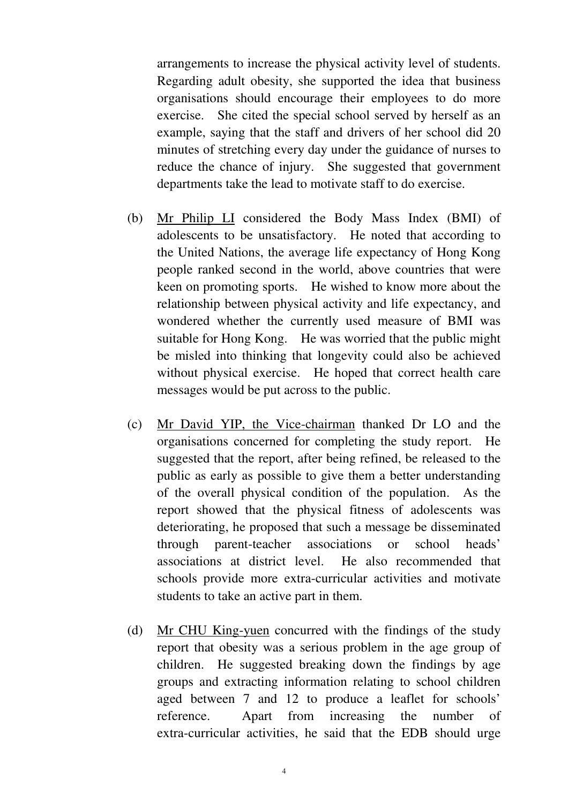arrangements to increase the physical activity level of students. Regarding adult obesity, she supported the idea that business organisations should encourage their employees to do more exercise. She cited the special school served by herself as an example, saying that the staff and drivers of her school did 20 minutes of stretching every day under the guidance of nurses to reduce the chance of injury. She suggested that government departments take the lead to motivate staff to do exercise.

- (b) Mr Philip LI considered the Body Mass Index (BMI) of adolescents to be unsatisfactory. He noted that according to the United Nations, the average life expectancy of Hong Kong people ranked second in the world, above countries that were keen on promoting sports. He wished to know more about the relationship between physical activity and life expectancy, and wondered whether the currently used measure of BMI was suitable for Hong Kong. He was worried that the public might be misled into thinking that longevity could also be achieved without physical exercise. He hoped that correct health care messages would be put across to the public.
- (c) Mr David YIP, the Vice-chairman thanked Dr LO and the organisations concerned for completing the study report. He suggested that the report, after being refined, be released to the public as early as possible to give them a better understanding of the overall physical condition of the population. As the report showed that the physical fitness of adolescents was deteriorating, he proposed that such a message be disseminated through parent-teacher associations or school heads' associations at district level. He also recommended that schools provide more extra-curricular activities and motivate students to take an active part in them.
- (d) Mr CHU King-yuen concurred with the findings of the study report that obesity was a serious problem in the age group of children. He suggested breaking down the findings by age groups and extracting information relating to school children aged between 7 and 12 to produce a leaflet for schools' reference. Apart from increasing the number of extra-curricular activities, he said that the EDB should urge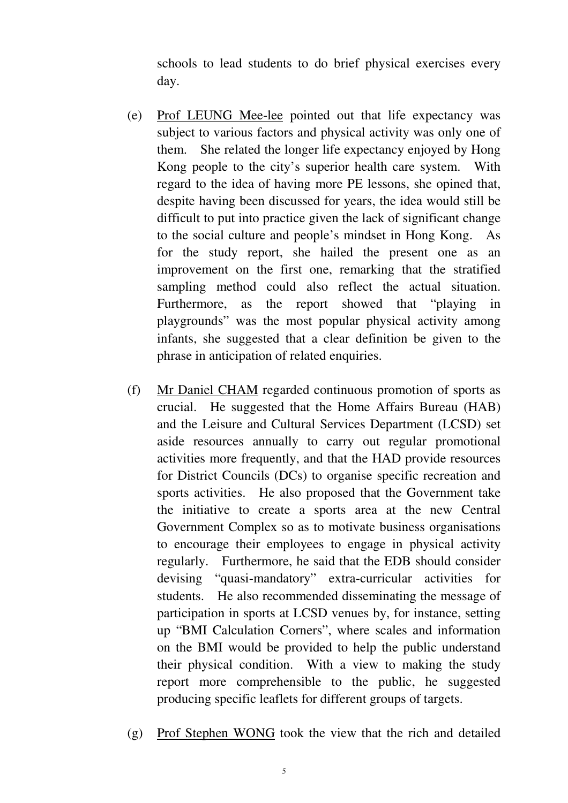schools to lead students to do brief physical exercises every day.

- (e) Prof LEUNG Mee-lee pointed out that life expectancy was subject to various factors and physical activity was only one of them. She related the longer life expectancy enjoyed by Hong Kong people to the city's superior health care system. With regard to the idea of having more PE lessons, she opined that, despite having been discussed for years, the idea would still be difficult to put into practice given the lack of significant change to the social culture and people's mindset in Hong Kong. As for the study report, she hailed the present one as an improvement on the first one, remarking that the stratified sampling method could also reflect the actual situation. Furthermore, as the report showed that "playing in playgrounds" was the most popular physical activity among infants, she suggested that a clear definition be given to the phrase in anticipation of related enquiries.
- (f) Mr Daniel CHAM regarded continuous promotion of sports as crucial. He suggested that the Home Affairs Bureau (HAB) and the Leisure and Cultural Services Department (LCSD) set aside resources annually to carry out regular promotional activities more frequently, and that the HAD provide resources for District Councils (DCs) to organise specific recreation and sports activities. He also proposed that the Government take the initiative to create a sports area at the new Central Government Complex so as to motivate business organisations to encourage their employees to engage in physical activity regularly. Furthermore, he said that the EDB should consider devising "quasi-mandatory" extra-curricular activities for students. He also recommended disseminating the message of participation in sports at LCSD venues by, for instance, setting up "BMI Calculation Corners", where scales and information on the BMI would be provided to help the public understand their physical condition. With a view to making the study report more comprehensible to the public, he suggested producing specific leaflets for different groups of targets.
- (g) Prof Stephen WONG took the view that the rich and detailed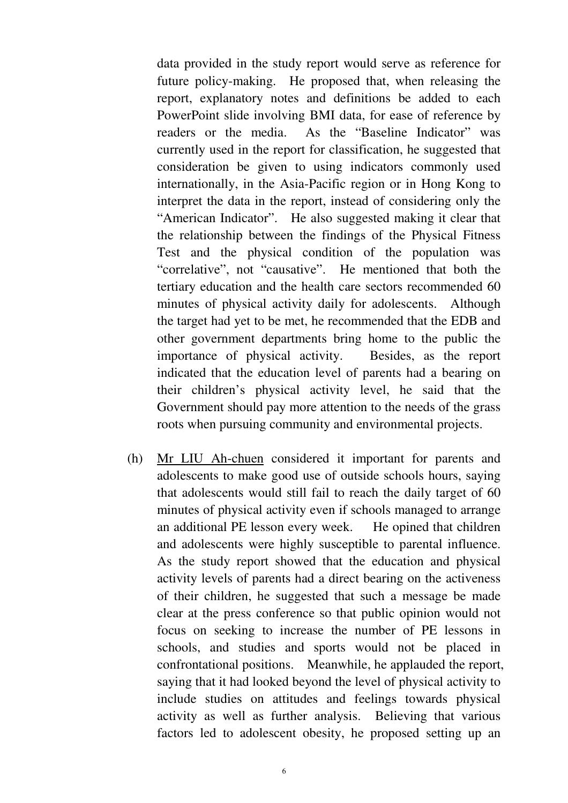data provided in the study report would serve as reference for future policy-making. He proposed that, when releasing the report, explanatory notes and definitions be added to each PowerPoint slide involving BMI data, for ease of reference by readers or the media. As the "Baseline Indicator" was currently used in the report for classification, he suggested that consideration be given to using indicators commonly used internationally, in the Asia-Pacific region or in Hong Kong to interpret the data in the report, instead of considering only the "American Indicator". He also suggested making it clear that the relationship between the findings of the Physical Fitness Test and the physical condition of the population was "correlative", not "causative". He mentioned that both the tertiary education and the health care sectors recommended 60 minutes of physical activity daily for adolescents. Although the target had yet to be met, he recommended that the EDB and other government departments bring home to the public the importance of physical activity. Besides, as the report indicated that the education level of parents had a bearing on their children's physical activity level, he said that the Government should pay more attention to the needs of the grass roots when pursuing community and environmental projects.

(h) Mr LIU Ah-chuen considered it important for parents and adolescents to make good use of outside schools hours, saying that adolescents would still fail to reach the daily target of 60 minutes of physical activity even if schools managed to arrange an additional PE lesson every week. He opined that children and adolescents were highly susceptible to parental influence. As the study report showed that the education and physical activity levels of parents had a direct bearing on the activeness of their children, he suggested that such a message be made clear at the press conference so that public opinion would not focus on seeking to increase the number of PE lessons in schools, and studies and sports would not be placed in confrontational positions. Meanwhile, he applauded the report, saying that it had looked beyond the level of physical activity to include studies on attitudes and feelings towards physical activity as well as further analysis. Believing that various factors led to adolescent obesity, he proposed setting up an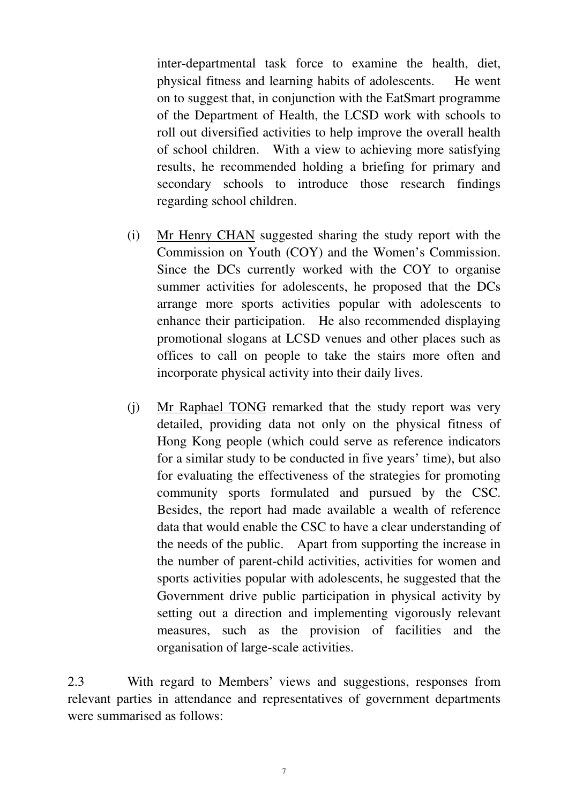inter-departmental task force to examine the health, diet, physical fitness and learning habits of adolescents. He went on to suggest that, in conjunction with the EatSmart programme of the Department of Health, the LCSD work with schools to roll out diversified activities to help improve the overall health of school children. With a view to achieving more satisfying results, he recommended holding a briefing for primary and secondary schools to introduce those research findings regarding school children.

- (i) Mr Henry CHAN suggested sharing the study report with the Commission on Youth (COY) and the Women's Commission. Since the DCs currently worked with the COY to organise summer activities for adolescents, he proposed that the DCs arrange more sports activities popular with adolescents to enhance their participation. He also recommended displaying promotional slogans at LCSD venues and other places such as offices to call on people to take the stairs more often and incorporate physical activity into their daily lives.
- (j) Mr Raphael TONG remarked that the study report was very detailed, providing data not only on the physical fitness of Hong Kong people (which could serve as reference indicators for a similar study to be conducted in five years' time), but also for evaluating the effectiveness of the strategies for promoting community sports formulated and pursued by the CSC. Besides, the report had made available a wealth of reference data that would enable the CSC to have a clear understanding of the needs of the public. Apart from supporting the increase in the number of parent-child activities, activities for women and sports activities popular with adolescents, he suggested that the Government drive public participation in physical activity by setting out a direction and implementing vigorously relevant measures, such as the provision of facilities and the organisation of large-scale activities.

2.3 With regard to Members' views and suggestions, responses from relevant parties in attendance and representatives of government departments were summarised as follows: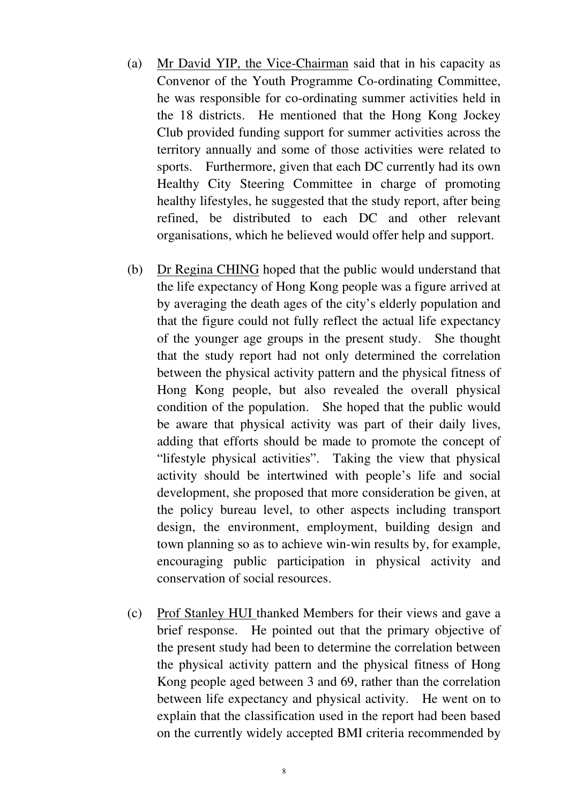- (a) Mr David YIP, the Vice-Chairman said that in his capacity as Convenor of the Youth Programme Co-ordinating Committee, he was responsible for co-ordinating summer activities held in the 18 districts. He mentioned that the Hong Kong Jockey Club provided funding support for summer activities across the territory annually and some of those activities were related to sports. Furthermore, given that each DC currently had its own Healthy City Steering Committee in charge of promoting healthy lifestyles, he suggested that the study report, after being refined, be distributed to each DC and other relevant organisations, which he believed would offer help and support.
- (b) Dr Regina CHING hoped that the public would understand that the life expectancy of Hong Kong people was a figure arrived at by averaging the death ages of the city's elderly population and that the figure could not fully reflect the actual life expectancy of the younger age groups in the present study. She thought that the study report had not only determined the correlation between the physical activity pattern and the physical fitness of Hong Kong people, but also revealed the overall physical condition of the population. She hoped that the public would be aware that physical activity was part of their daily lives, adding that efforts should be made to promote the concept of "lifestyle physical activities". Taking the view that physical activity should be intertwined with people's life and social development, she proposed that more consideration be given, at the policy bureau level, to other aspects including transport design, the environment, employment, building design and town planning so as to achieve win-win results by, for example, encouraging public participation in physical activity and conservation of social resources.
- (c) Prof Stanley HUI thanked Members for their views and gave a brief response. He pointed out that the primary objective of the present study had been to determine the correlation between the physical activity pattern and the physical fitness of Hong Kong people aged between 3 and 69, rather than the correlation between life expectancy and physical activity. He went on to explain that the classification used in the report had been based on the currently widely accepted BMI criteria recommended by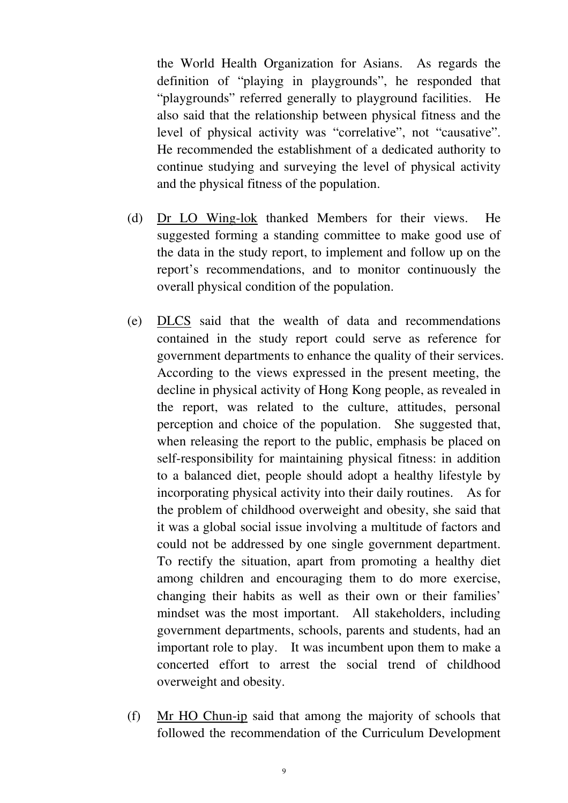the World Health Organization for Asians. As regards the definition of "playing in playgrounds", he responded that "playgrounds" referred generally to playground facilities. He also said that the relationship between physical fitness and the level of physical activity was "correlative", not "causative". He recommended the establishment of a dedicated authority to continue studying and surveying the level of physical activity and the physical fitness of the population.

- (d) Dr LO Wing-lok thanked Members for their views. He suggested forming a standing committee to make good use of the data in the study report, to implement and follow up on the report's recommendations, and to monitor continuously the overall physical condition of the population.
- (e) DLCS said that the wealth of data and recommendations contained in the study report could serve as reference for government departments to enhance the quality of their services. According to the views expressed in the present meeting, the decline in physical activity of Hong Kong people, as revealed in the report, was related to the culture, attitudes, personal perception and choice of the population. She suggested that, when releasing the report to the public, emphasis be placed on self-responsibility for maintaining physical fitness: in addition to a balanced diet, people should adopt a healthy lifestyle by incorporating physical activity into their daily routines. As for the problem of childhood overweight and obesity, she said that it was a global social issue involving a multitude of factors and could not be addressed by one single government department. To rectify the situation, apart from promoting a healthy diet among children and encouraging them to do more exercise, changing their habits as well as their own or their families' mindset was the most important. All stakeholders, including government departments, schools, parents and students, had an important role to play. It was incumbent upon them to make a concerted effort to arrest the social trend of childhood overweight and obesity.
- (f) Mr HO Chun-ip said that among the majority of schools that followed the recommendation of the Curriculum Development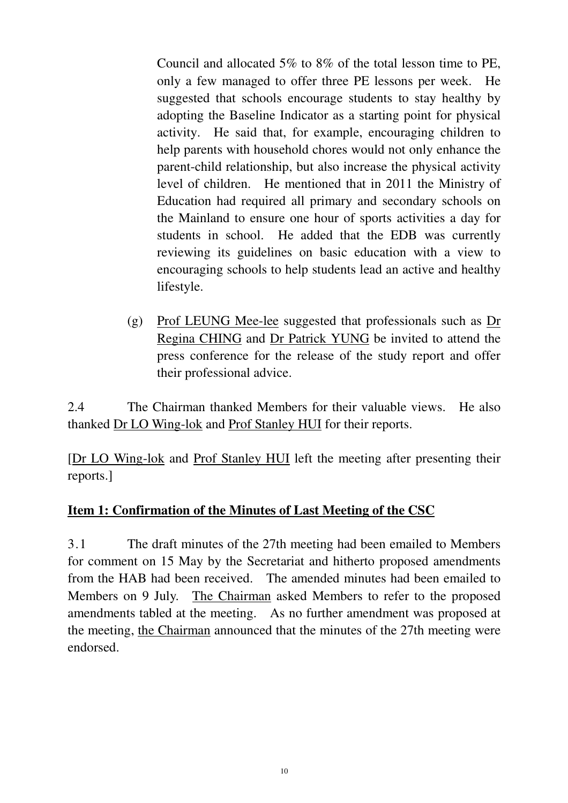Council and allocated 5% to 8% of the total lesson time to PE, only a few managed to offer three PE lessons per week. He suggested that schools encourage students to stay healthy by adopting the Baseline Indicator as a starting point for physical activity. He said that, for example, encouraging children to help parents with household chores would not only enhance the parent-child relationship, but also increase the physical activity level of children. He mentioned that in 2011 the Ministry of Education had required all primary and secondary schools on the Mainland to ensure one hour of sports activities a day for students in school. He added that the EDB was currently reviewing its guidelines on basic education with a view to encouraging schools to help students lead an active and healthy lifestyle.

(g) Prof LEUNG Mee-lee suggested that professionals such as Dr Regina CHING and Dr Patrick YUNG be invited to attend the press conference for the release of the study report and offer their professional advice.

2.4 The Chairman thanked Members for their valuable views. He also thanked Dr LO Wing-lok and Prof Stanley HUI for their reports.

[Dr LO Wing-lok and Prof Stanley HUI left the meeting after presenting their reports.]

# **Item 1: Confirmation of the Minutes of Last Meeting of the CSC**

3.1 The draft minutes of the 27th meeting had been emailed to Members for comment on 15 May by the Secretariat and hitherto proposed amendments from the HAB had been received. The amended minutes had been emailed to Members on 9 July. The Chairman asked Members to refer to the proposed amendments tabled at the meeting. As no further amendment was proposed at the meeting, the Chairman announced that the minutes of the 27th meeting were endorsed.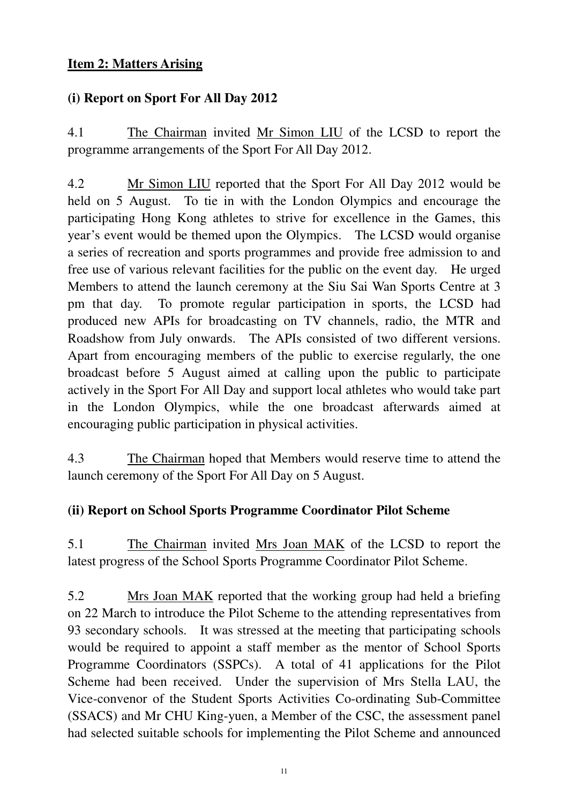## **Item 2: Matters Arising**

## **(i) Report on Sport For All Day 2012**

4.1 The Chairman invited Mr Simon LIU of the LCSD to report the programme arrangements of the Sport For All Day 2012.

4.2 Mr Simon LIU reported that the Sport For All Day 2012 would be held on 5 August. To tie in with the London Olympics and encourage the participating Hong Kong athletes to strive for excellence in the Games, this year's event would be themed upon the Olympics. The LCSD would organise a series of recreation and sports programmes and provide free admission to and free use of various relevant facilities for the public on the event day. He urged Members to attend the launch ceremony at the Siu Sai Wan Sports Centre at 3 pm that day. To promote regular participation in sports, the LCSD had produced new APIs for broadcasting on TV channels, radio, the MTR and Roadshow from July onwards. The APIs consisted of two different versions. Apart from encouraging members of the public to exercise regularly, the one broadcast before 5 August aimed at calling upon the public to participate actively in the Sport For All Day and support local athletes who would take part in the London Olympics, while the one broadcast afterwards aimed at encouraging public participation in physical activities.

4.3 The Chairman hoped that Members would reserve time to attend the launch ceremony of the Sport For All Day on 5 August.

#### **(ii) Report on School Sports Programme Coordinator Pilot Scheme**

5.1 The Chairman invited Mrs Joan MAK of the LCSD to report the latest progress of the School Sports Programme Coordinator Pilot Scheme.

5.2 Mrs Joan MAK reported that the working group had held a briefing on 22 March to introduce the Pilot Scheme to the attending representatives from 93 secondary schools. It was stressed at the meeting that participating schools would be required to appoint a staff member as the mentor of School Sports Programme Coordinators (SSPCs). A total of 41 applications for the Pilot Scheme had been received. Under the supervision of Mrs Stella LAU, the Vice-convenor of the Student Sports Activities Co-ordinating Sub-Committee (SSACS) and Mr CHU King-yuen, a Member of the CSC, the assessment panel had selected suitable schools for implementing the Pilot Scheme and announced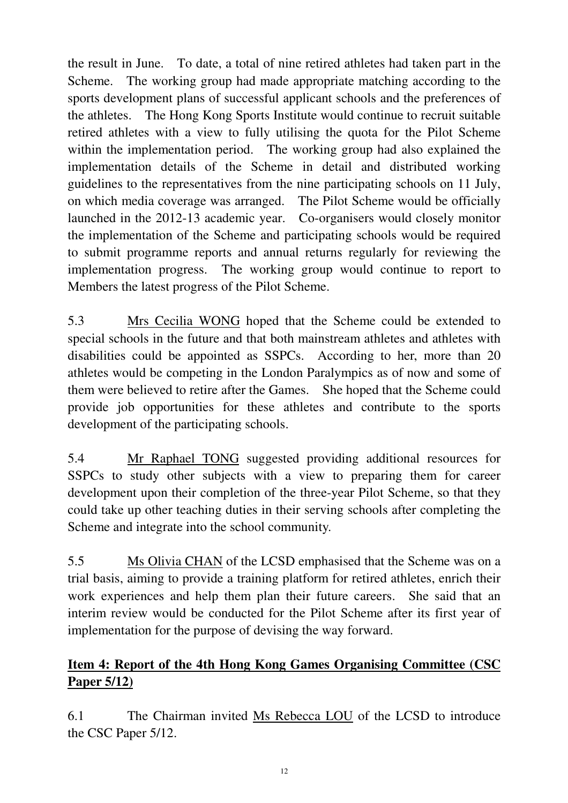the result in June. To date, a total of nine retired athletes had taken part in the Scheme. The working group had made appropriate matching according to the sports development plans of successful applicant schools and the preferences of the athletes. The Hong Kong Sports Institute would continue to recruit suitable retired athletes with a view to fully utilising the quota for the Pilot Scheme within the implementation period. The working group had also explained the implementation details of the Scheme in detail and distributed working guidelines to the representatives from the nine participating schools on 11 July, on which media coverage was arranged. The Pilot Scheme would be officially launched in the 2012-13 academic year. Co-organisers would closely monitor the implementation of the Scheme and participating schools would be required to submit programme reports and annual returns regularly for reviewing the implementation progress. The working group would continue to report to Members the latest progress of the Pilot Scheme.

5.3 Mrs Cecilia WONG hoped that the Scheme could be extended to special schools in the future and that both mainstream athletes and athletes with disabilities could be appointed as SSPCs. According to her, more than 20 athletes would be competing in the London Paralympics as of now and some of them were believed to retire after the Games. She hoped that the Scheme could provide job opportunities for these athletes and contribute to the sports development of the participating schools.

5.4 Mr Raphael TONG suggested providing additional resources for SSPCs to study other subjects with a view to preparing them for career development upon their completion of the three-year Pilot Scheme, so that they could take up other teaching duties in their serving schools after completing the Scheme and integrate into the school community.

5.5 Ms Olivia CHAN of the LCSD emphasised that the Scheme was on a trial basis, aiming to provide a training platform for retired athletes, enrich their work experiences and help them plan their future careers. She said that an interim review would be conducted for the Pilot Scheme after its first year of implementation for the purpose of devising the way forward.

# **Item 4: Report of the 4th Hong Kong Games Organising Committee (CSC Paper 5/12)**

6.1 The Chairman invited Ms Rebecca LOU of the LCSD to introduce the CSC Paper 5/12.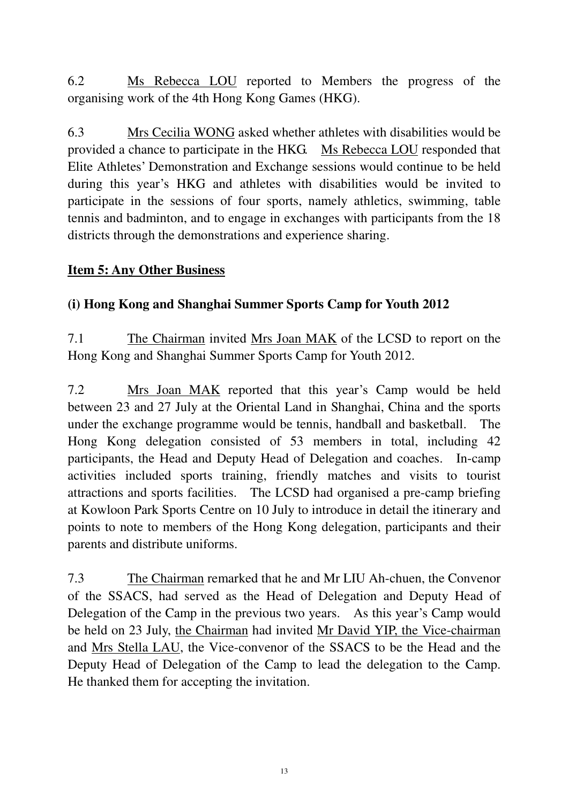6.2 Ms Rebecca LOU reported to Members the progress of the organising work of the 4th Hong Kong Games (HKG).

6.3 Mrs Cecilia WONG asked whether athletes with disabilities would be provided a chance to participate in the HKG. Ms Rebecca LOU responded that Elite Athletes' Demonstration and Exchange sessions would continue to be held during this year's HKG and athletes with disabilities would be invited to participate in the sessions of four sports, namely athletics, swimming, table tennis and badminton, and to engage in exchanges with participants from the 18 districts through the demonstrations and experience sharing.

## **Item 5: Any Other Business**

## **(i) Hong Kong and Shanghai Summer Sports Camp for Youth 2012**

7.1 The Chairman invited Mrs Joan MAK of the LCSD to report on the Hong Kong and Shanghai Summer Sports Camp for Youth 2012.

7.2 Mrs Joan MAK reported that this year's Camp would be held between 23 and 27 July at the Oriental Land in Shanghai, China and the sports under the exchange programme would be tennis, handball and basketball. The Hong Kong delegation consisted of 53 members in total, including 42 participants, the Head and Deputy Head of Delegation and coaches. In-camp activities included sports training, friendly matches and visits to tourist attractions and sports facilities. The LCSD had organised a pre-camp briefing at Kowloon Park Sports Centre on 10 July to introduce in detail the itinerary and points to note to members of the Hong Kong delegation, participants and their parents and distribute uniforms.

7.3 The Chairman remarked that he and Mr LIU Ah-chuen, the Convenor of the SSACS, had served as the Head of Delegation and Deputy Head of Delegation of the Camp in the previous two years. As this year's Camp would be held on 23 July, the Chairman had invited Mr David YIP, the Vice-chairman and Mrs Stella LAU, the Vice-convenor of the SSACS to be the Head and the Deputy Head of Delegation of the Camp to lead the delegation to the Camp. He thanked them for accepting the invitation.